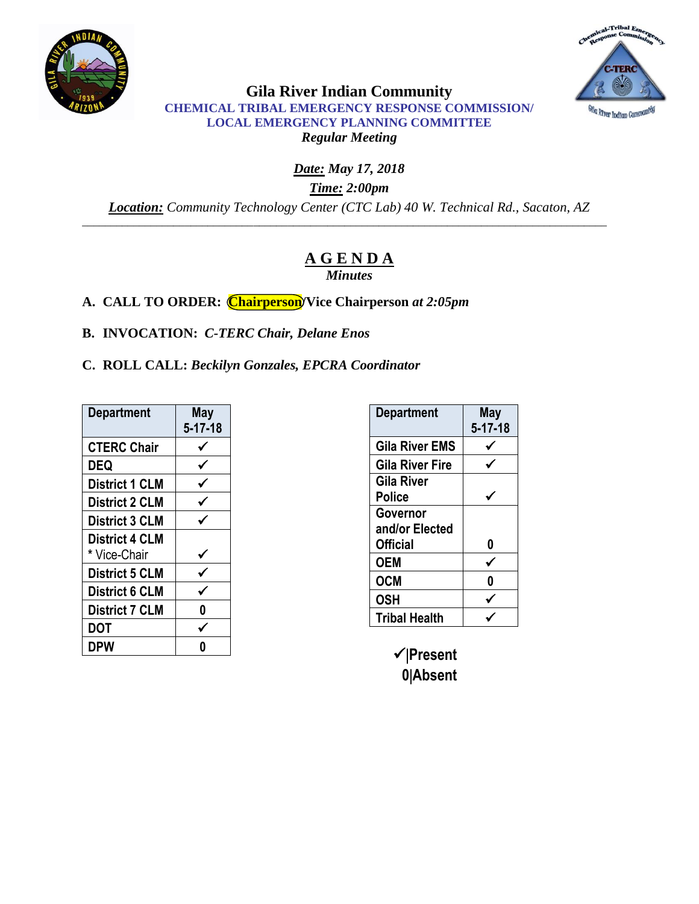



**Gila River Indian Community CHEMICAL TRIBAL EMERGENCY RESPONSE COMMISSION/ LOCAL EMERGENCY PLANNING COMMITTEE** *Regular Meeting* 

*Date: May 17, 2018 Time: 2:00pm Location: Community Technology Center (CTC Lab) 40 W. Technical Rd., Sacaton, AZ* \_\_\_\_\_\_\_\_\_\_\_\_\_\_\_\_\_\_\_\_\_\_\_\_\_\_\_\_\_\_\_\_\_\_\_\_\_\_\_\_\_\_\_\_\_\_\_\_\_\_\_\_\_\_\_\_\_\_\_\_\_\_\_\_\_\_\_\_\_\_\_\_\_\_\_\_\_\_\_\_\_\_\_\_\_\_\_\_\_\_\_\_

# **A G E N D A**

*Minutes*

**A. CALL TO ORDER: Chairperson/Vice Chairperson** *at 2:05pm*

**B. INVOCATION:** *C-TERC Chair, Delane Enos*

**C. ROLL CALL:** *Beckilyn Gonzales, EPCRA Coordinator*

| <b>Department</b>     | <b>May</b><br>$5 - 17 - 18$ |
|-----------------------|-----------------------------|
| <b>CTERC Chair</b>    |                             |
| DEQ                   |                             |
| <b>District 1 CLM</b> |                             |
| <b>District 2 CLM</b> |                             |
| <b>District 3 CLM</b> |                             |
| <b>District 4 CLM</b> |                             |
| * Vice-Chair          |                             |
| <b>District 5 CLM</b> |                             |
| <b>District 6 CLM</b> |                             |
| <b>District 7 CLM</b> | 0                           |
| DOT                   |                             |
| DPW                   |                             |

| <b>Department</b>      | May<br>$5 - 17 - 18$ |
|------------------------|----------------------|
| Gila River EMS         |                      |
| <b>Gila River Fire</b> |                      |
| Gila River             |                      |
| Police                 |                      |
| Governor               |                      |
| and/or Elected         |                      |
| <b>Official</b>        | 0                    |
| <b>OEM</b>             |                      |
| <b>OCM</b>             | Λ                    |
| <b>OSH</b>             |                      |
| <b>Tribal Health</b>   |                      |

**Present 0Absent**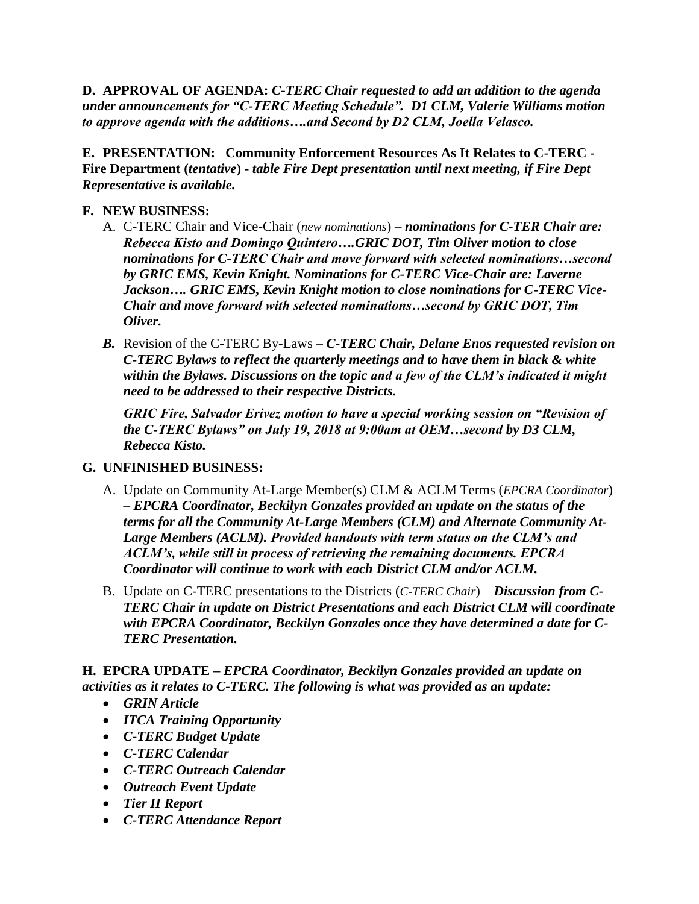**D. APPROVAL OF AGENDA:** *C-TERC Chair requested to add an addition to the agenda under announcements for "C-TERC Meeting Schedule". D1 CLM, Valerie Williams motion to approve agenda with the additions….and Second by D2 CLM, Joella Velasco.*

**E. PRESENTATION: Community Enforcement Resources As It Relates to C-TERC - Fire Department (***tentative***) -** *table Fire Dept presentation until next meeting, if Fire Dept Representative is available.* 

# **F. NEW BUSINESS:**

- A. C-TERC Chair and Vice-Chair (*new nominations*) *nominations for C-TER Chair are: Rebecca Kisto and Domingo Quintero….GRIC DOT, Tim Oliver motion to close nominations for C-TERC Chair and move forward with selected nominations…second by GRIC EMS, Kevin Knight. Nominations for C-TERC Vice-Chair are: Laverne Jackson…. GRIC EMS, Kevin Knight motion to close nominations for C-TERC Vice-Chair and move forward with selected nominations…second by GRIC DOT, Tim Oliver.*
- *B.* Revision of the C-TERC By-Laws *C-TERC Chair, Delane Enos requested revision on C-TERC Bylaws to reflect the quarterly meetings and to have them in black & white within the Bylaws. Discussions on the topic and a few of the CLM's indicated it might need to be addressed to their respective Districts.*

*GRIC Fire, Salvador Erivez motion to have a special working session on "Revision of the C-TERC Bylaws" on July 19, 2018 at 9:00am at OEM…second by D3 CLM, Rebecca Kisto.* 

# **G. UNFINISHED BUSINESS:**

- A. Update on Community At-Large Member(s) CLM & ACLM Terms (*EPCRA Coordinator*) – *EPCRA Coordinator, Beckilyn Gonzales provided an update on the status of the terms for all the Community At-Large Members (CLM) and Alternate Community At-Large Members (ACLM). Provided handouts with term status on the CLM's and ACLM's, while still in process of retrieving the remaining documents. EPCRA Coordinator will continue to work with each District CLM and/or ACLM.*
- B. Update on C-TERC presentations to the Districts (*C-TERC Chair*) *Discussion from C-TERC Chair in update on District Presentations and each District CLM will coordinate with EPCRA Coordinator, Beckilyn Gonzales once they have determined a date for C-TERC Presentation.*

**H. EPCRA UPDATE –** *EPCRA Coordinator, Beckilyn Gonzales provided an update on activities as it relates to C-TERC. The following is what was provided as an update:*

- *GRIN Article*
- *ITCA Training Opportunity*
- *C-TERC Budget Update*
- *C-TERC Calendar*
- *C-TERC Outreach Calendar*
- *Outreach Event Update*
- *Tier II Report*
- *C-TERC Attendance Report*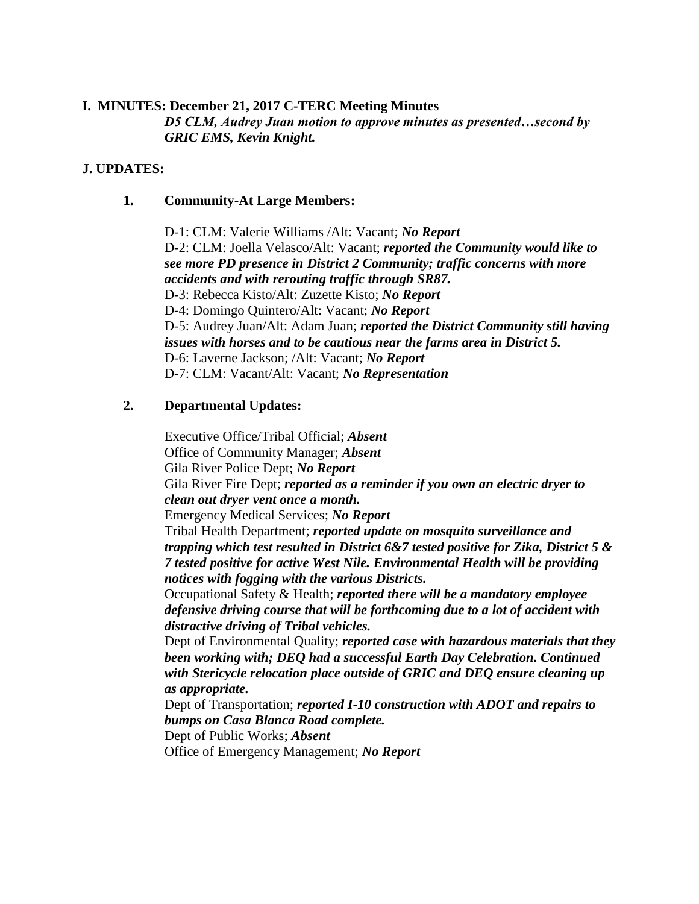#### **I. MINUTES: December 21, 2017 C-TERC Meeting Minutes**

*D5 CLM, Audrey Juan motion to approve minutes as presented…second by GRIC EMS, Kevin Knight.*

#### **J. UPDATES:**

#### **1. Community-At Large Members:**

D-1: CLM: Valerie Williams /Alt: Vacant; *No Report* D-2: CLM: Joella Velasco/Alt: Vacant; *reported the Community would like to see more PD presence in District 2 Community; traffic concerns with more accidents and with rerouting traffic through SR87.* D-3: Rebecca Kisto/Alt: Zuzette Kisto; *No Report* D-4: Domingo Quintero/Alt: Vacant; *No Report* D-5: Audrey Juan/Alt: Adam Juan; *reported the District Community still having issues with horses and to be cautious near the farms area in District 5.* D-6: Laverne Jackson; /Alt: Vacant; *No Report* D-7: CLM: Vacant/Alt: Vacant; *No Representation*

# **2. Departmental Updates:**

Executive Office/Tribal Official; *Absent* Office of Community Manager; *Absent* Gila River Police Dept; *No Report* Gila River Fire Dept; *reported as a reminder if you own an electric dryer to clean out dryer vent once a month.* Emergency Medical Services; *No Report* Tribal Health Department; *reported update on mosquito surveillance and trapping which test resulted in District 6&7 tested positive for Zika, District 5 & 7 tested positive for active West Nile. Environmental Health will be providing notices with fogging with the various Districts.* Occupational Safety & Health; *reported there will be a mandatory employee defensive driving course that will be forthcoming due to a lot of accident with distractive driving of Tribal vehicles.* Dept of Environmental Quality; *reported case with hazardous materials that they* 

*been working with; DEQ had a successful Earth Day Celebration. Continued with Stericycle relocation place outside of GRIC and DEQ ensure cleaning up as appropriate.*

Dept of Transportation; *reported I-10 construction with ADOT and repairs to bumps on Casa Blanca Road complete.* 

Dept of Public Works; *Absent*

Office of Emergency Management; *No Report*